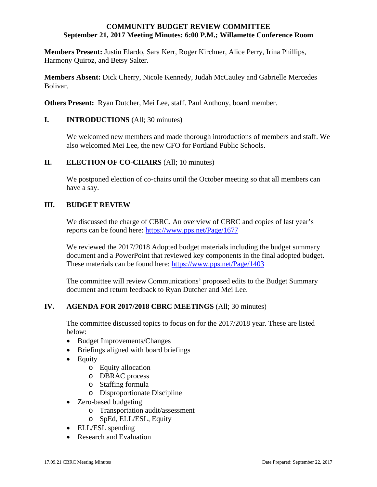#### **COMMUNITY BUDGET REVIEW COMMITTEE September 21, 2017 Meeting Minutes; 6:00 P.M.; Willamette Conference Room**

**Members Present:** Justin Elardo, Sara Kerr, Roger Kirchner, Alice Perry, Irina Phillips, Harmony Quiroz, and Betsy Salter.

**Members Absent:** Dick Cherry, Nicole Kennedy, Judah McCauley and Gabrielle Mercedes Bolivar.

**Others Present:** Ryan Dutcher, Mei Lee, staff. Paul Anthony, board member.

### **I. INTRODUCTIONS** (All; 30 minutes)

We welcomed new members and made thorough introductions of members and staff. We also welcomed Mei Lee, the new CFO for Portland Public Schools.

#### **II.** ELECTION OF CO-CHAIRS (All; 10 minutes)

 We postponed election of co-chairs until the October meeting so that all members can have a say.

#### **III. BUDGET REVIEW**

We discussed the charge of CBRC. An overview of CBRC and copies of last year's reports can be found here: https://www.pps.net/Page/1677

We reviewed the 2017/2018 Adopted budget materials including the budget summary document and a PowerPoint that reviewed key components in the final adopted budget. These materials can be found here: https://www.pps.net/Page/1403

 The committee will review Communications' proposed edits to the Budget Summary document and return feedback to Ryan Dutcher and Mei Lee.

### **IV. AGENDA FOR 2017/2018 CBRC MEETINGS** (All; 30 minutes)

 The committee discussed topics to focus on for the 2017/2018 year. These are listed below:

- Budget Improvements/Changes
- Briefings aligned with board briefings
- Equity
	- o Equity allocation
	- o DBRAC process
	- o Staffing formula
	- o Disproportionate Discipline
- Zero-based budgeting
	- o Transportation audit/assessment
	- o SpEd, ELL/ESL, Equity
- ELL/ESL spending
- Research and Evaluation